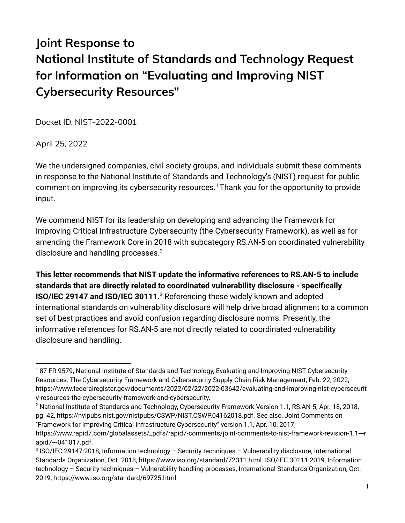## **Joint Response to National Institute of Standards and Technology Request for Information on "Evaluating and Improving NIST Cybersecurity Resources"**

Docket ID. NIST-2022-0001

April 25, 2022

We the undersigned companies, civil society groups, and individuals submit these comments in response to the National Institute of Standards and Technology's (NIST) request for public comment on improving its cybersecurity resources.<sup>1</sup> Thank you for the opportunity to provide input.

We commend NIST for its leadership on developing and advancing the Framework for Improving Critical Infrastructure Cybersecurity (the Cybersecurity Framework), as well as for amending the Framework Core in 2018 with subcategory RS.AN-5 on coordinated vulnerability disclosure and handling processes.<sup>2</sup>

**This letter recommends that NIST update the informative references to RS.AN-5 to include standards that are directly related to coordinated vulnerability disclosure - specifically ISO/IEC 29147 and ISO/IEC 30111.**<sup>3</sup> Referencing these widely known and adopted international standards on vulnerability disclosure will help drive broad alignment to a common set of best practices and avoid confusion regarding disclosure norms. Presently, the informative references for RS.AN-5 are not directly related to coordinated vulnerability disclosure and handling.

<sup>2</sup> National Institute of Standards and Technology, Cybersecurity Framework Version 1.1, RS.AN-5, Apr. 18, 2018, pg. 42, https://nvlpubs.nist.gov/nistpubs/CSWP/NIST.CSWP.04162018.pdf. See also, Joint Comments on "Framework for Improving Critical Infrastructure Cybersecurity" version 1.1, Apr. 10, 2017,

<sup>&</sup>lt;sup>1</sup> 87 FR 9579, National Institute of Standards and Technology, Evaluating and Improving NIST Cybersecurity Resources: The Cybersecurity Framework and Cybersecurity Supply Chain Risk Management, Feb. 22, 2022, https://www.federalregister.gov/documents/2022/02/22/2022-03642/evaluating-and-improving-nist-cybersecurit y-resources-the-cybersecurity-framework-and-cybersecurity.

https://www.rapid7.com/globalassets/\_pdfs/rapid7-comments/joint-comments-to-nist-framework-revision-1.1---r apid7---041017.pdf.

<sup>&</sup>lt;sup>3</sup> ISO/IEC 29147:2018, Information technology - Security techniques - Vulnerability disclosure, International Standards Organization, Oct. 2018, https://www.iso.org/standard/72311.html. ISO/IEC 30111:2019, Information technology – Security techniques – Vulnerability handling processes, International Standards Organization, Oct. 2019, https://www.iso.org/standard/69725.html.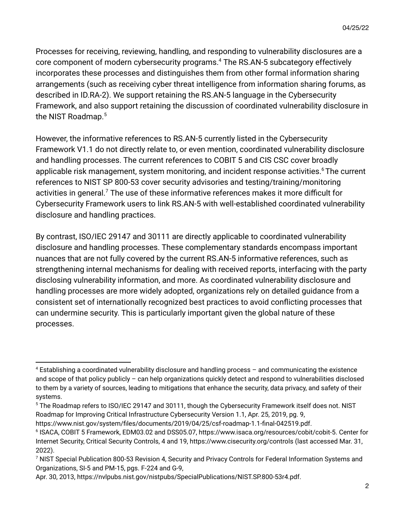Processes for receiving, reviewing, handling, and responding to vulnerability disclosures are a core component of modern cybersecurity programs.<sup>4</sup> The RS.AN-5 subcategory effectively incorporates these processes and distinguishes them from other formal information sharing arrangements (such as receiving cyber threat intelligence from information sharing forums, as described in ID.RA-2). We support retaining the RS.AN-5 language in the Cybersecurity Framework, and also support retaining the discussion of coordinated vulnerability disclosure in the NIST Roadmap.<sup>5</sup>

However, the informative references to RS.AN-5 currently listed in the Cybersecurity Framework V1.1 do not directly relate to, or even mention, coordinated vulnerability disclosure and handling processes. The current references to COBIT 5 and CIS CSC cover broadly applicable risk management, system monitoring, and incident response activities.<sup>6</sup> The current references to NIST SP 800-53 cover security advisories and testing/training/monitoring activities in general.<sup>7</sup> The use of these informative references makes it more difficult for Cybersecurity Framework users to link RS.AN-5 with well-established coordinated vulnerability disclosure and handling practices.

By contrast, ISO/IEC 29147 and 30111 are directly applicable to coordinated vulnerability disclosure and handling processes. These complementary standards encompass important nuances that are not fully covered by the current RS.AN-5 informative references, such as strengthening internal mechanisms for dealing with received reports, interfacing with the party disclosing vulnerability information, and more. As coordinated vulnerability disclosure and handling processes are more widely adopted, organizations rely on detailed guidance from a consistent set of internationally recognized best practices to avoid conflicting processes that can undermine security. This is particularly important given the global nature of these processes.

 $4$  Establishing a coordinated vulnerability disclosure and handling process  $-$  and communicating the existence and scope of that policy publicly – can help organizations quickly detect and respond to vulnerabilities disclosed to them by a variety of sources, leading to mitigations that enhance the security, data privacy, and safety of their systems.

<sup>&</sup>lt;sup>5</sup> The Roadmap refers to ISO/IEC 29147 and 30111, though the Cybersecurity Framework itself does not. NIST Roadmap for Improving Critical Infrastructure Cybersecurity Version 1.1, Apr. 25, 2019, pg. 9,

https://www.nist.gov/system/files/documents/2019/04/25/csf-roadmap-1.1-final-042519.pdf.

<sup>6</sup> ISACA, COBIT 5 Framework, EDM03.02 and DSS05.07, https://www.isaca.org/resources/cobit/cobit-5. Center for Internet Security, Critical Security Controls, 4 and 19, https://www.cisecurity.org/controls (last accessed Mar. 31, 2022).

<sup>&</sup>lt;sup>7</sup> NIST Special Publication 800-53 Revision 4, Security and Privacy Controls for Federal Information Systems and Organizations, SI-5 and PM-15, pgs. F-224 and G-9,

Apr. 30, 2013, https://nvlpubs.nist.gov/nistpubs/SpecialPublications/NIST.SP.800-53r4.pdf.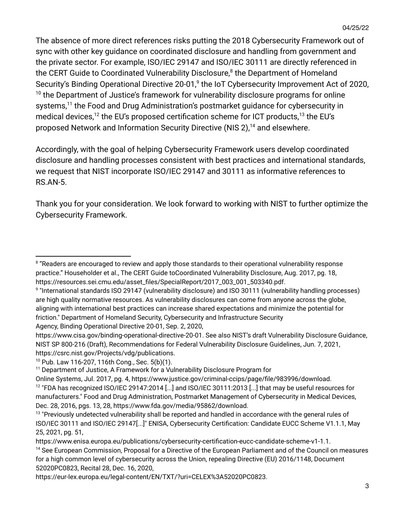The absence of more direct references risks putting the 2018 Cybersecurity Framework out of sync with other key guidance on coordinated disclosure and handling from government and the private sector. For example, ISO/IEC 29147 and ISO/IEC 30111 are directly referenced in the CERT Guide to Coordinated Vulnerability Disclosure, $8$  the Department of Homeland Security's Binding Operational Directive 20-01,<sup>9</sup> the IoT Cybersecurity Improvement Act of 2020,  $10$  the Department of Justice's framework for vulnerability disclosure programs for online systems,<sup>11</sup> the Food and Drug Administration's postmarket guidance for cybersecurity in medical devices,<sup>12</sup> the EU's proposed certification scheme for ICT products,<sup>13</sup> the EU's proposed Network and Information Security Directive (NIS 2),  $14$  and elsewhere.

Accordingly, with the goal of helping Cybersecurity Framework users develop coordinated disclosure and handling processes consistent with best practices and international standards, we request that NIST incorporate ISO/IEC 29147 and 30111 as informative references to RS.AN-5.

Thank you for your consideration. We look forward to working with NIST to further optimize the Cybersecurity Framework.

<sup>&</sup>lt;sup>8</sup> "Readers are encouraged to review and apply those standards to their operational vulnerability response practice." Householder et al., The CERT Guide toCoordinated Vulnerability Disclosure, Aug. 2017, pg. 18, https://resources.sei.cmu.edu/asset\_files/SpecialReport/2017\_003\_001\_503340.pdf.

<sup>9</sup> "International standards ISO 29147 (vulnerability disclosure) and ISO 30111 (vulnerability handling processes) are high quality normative resources. As vulnerability disclosures can come from anyone across the globe, aligning with international best practices can increase shared expectations and minimize the potential for friction." Department of Homeland Security, Cybersecurity and Infrastructure Security Agency, Binding Operational Directive 20-01, Sep. 2, 2020,

https://www.cisa.gov/binding-operational-directive-20-01. See also NIST's draft Vulnerability Disclosure Guidance, NIST SP 800-216 (Draft), Recommendations for Federal Vulnerability Disclosure Guidelines, Jun. 7, 2021, https://csrc.nist.gov/Projects/vdg/publications.

<sup>10</sup> Pub. Law 116-207, 116th Cong., Sec. 5(b)(1).

<sup>&</sup>lt;sup>11</sup> Department of Justice, A Framework for a Vulnerability Disclosure Program for

Online Systems, Jul. 2017, pg. 4, https://www.justice.gov/criminal-ccips/page/file/983996/download.

 $^{12}$  "FDA has recognized ISO/IEC 29147:2014 […] and ISO/IEC 30111:2013 […] that may be useful resources for manufacturers." Food and Drug Administration, Postmarket Management of Cybersecurity in Medical Devices, Dec. 28, 2016, pgs. 13, 28, https://www.fda.gov/media/95862/download.

<sup>&</sup>lt;sup>13</sup> "Previously undetected vulnerability shall be reported and handled in accordance with the general rules of ISO/IEC 30111 and ISO/IEC 29147[...]" ENISA, Cybersecurity Certification: Candidate EUCC Scheme V1.1.1, May 25, 2021, pg. 51,

https://www.enisa.europa.eu/publications/cybersecurity-certification-eucc-candidate-scheme-v1-1.1.

<sup>&</sup>lt;sup>14</sup> See European Commission, Proposal for a Directive of the European Parliament and of the Council on measures for a high common level of cybersecurity across the Union, repealing Directive (EU) 2016/1148, Document 52020PC0823, Recital 28, Dec. 16, 2020,

https://eur-lex.europa.eu/legal-content/EN/TXT/?uri=CELEX%3A52020PC0823.